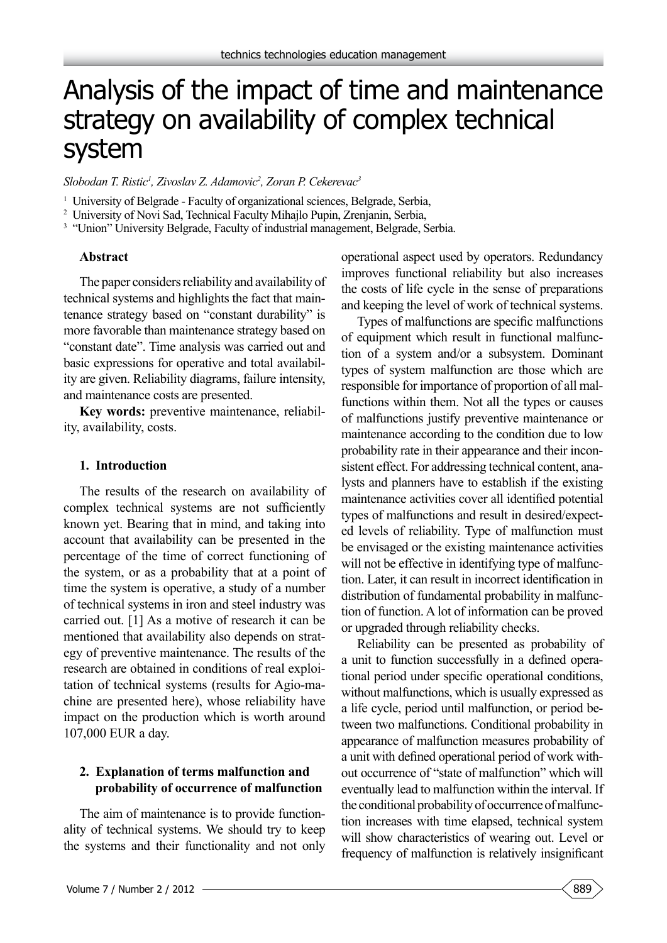# Analysis of the impact of time and maintenance strategy on availability of complex technical system

*Slobodan T. Ristic1 , Zivoslav Z. Adamovic2 , Zoran P. Cekerevac3*

<sup>1</sup> University of Belgrade - Faculty of organizational sciences, Belgrade, Serbia,

2 University of Novi Sad, Technical Faculty Mihajlo Pupin, Zrenjanin, Serbia,

<sup>3</sup> "Union" University Belgrade, Faculty of industrial management, Belgrade, Serbia.

#### **Abstract**

The paper considers reliability and availability of technical systems and highlights the fact that maintenance strategy based on "constant durability" is more favorable than maintenance strategy based on "constant date". Time analysis was carried out and basic expressions for operative and total availability are given. Reliability diagrams, failure intensity, and maintenance costs are presented.

**Key words:** preventive maintenance, reliability, availability, costs.

#### **1. Introduction**

The results of the research on availability of complex technical systems are not sufficiently known yet. Bearing that in mind, and taking into account that availability can be presented in the percentage of the time of correct functioning of the system, or as a probability that at a point of time the system is operative, a study of a number of technical systems in iron and steel industry was carried out. [1] As a motive of research it can be mentioned that availability also depends on strategy of preventive maintenance. The results of the research are obtained in conditions of real exploitation of technical systems (results for Agio-machine are presented here), whose reliability have impact on the production which is worth around 107,000 EUR a day.

# **2. Explanation of terms malfunction and probability of occurrence of malfunction**

The aim of maintenance is to provide functionality of technical systems. We should try to keep the systems and their functionality and not only operational aspect used by operators. Redundancy improves functional reliability but also increases the costs of life cycle in the sense of preparations and keeping the level of work of technical systems.

Types of malfunctions are specific malfunctions of equipment which result in functional malfunction of a system and/or a subsystem. Dominant types of system malfunction are those which are responsible for importance of proportion of all malfunctions within them. Not all the types or causes of malfunctions justify preventive maintenance or maintenance according to the condition due to low probability rate in their appearance and their inconsistent effect. For addressing technical content, analysts and planners have to establish if the existing maintenance activities cover all identified potential types of malfunctions and result in desired/expected levels of reliability. Type of malfunction must be envisaged or the existing maintenance activities will not be effective in identifying type of malfunction. Later, it can result in incorrect identification in distribution of fundamental probability in malfunction of function. A lot of information can be proved or upgraded through reliability checks.

Reliability can be presented as probability of a unit to function successfully in a defined operational period under specific operational conditions, without malfunctions, which is usually expressed as a life cycle, period until malfunction, or period between two malfunctions. Conditional probability in appearance of malfunction measures probability of a unit with defined operational period of work without occurrence of "state of malfunction" which will eventually lead to malfunction within the interval. If the conditional probability of occurrence of malfunction increases with time elapsed, technical system will show characteristics of wearing out. Level or frequency of malfunction is relatively insignificant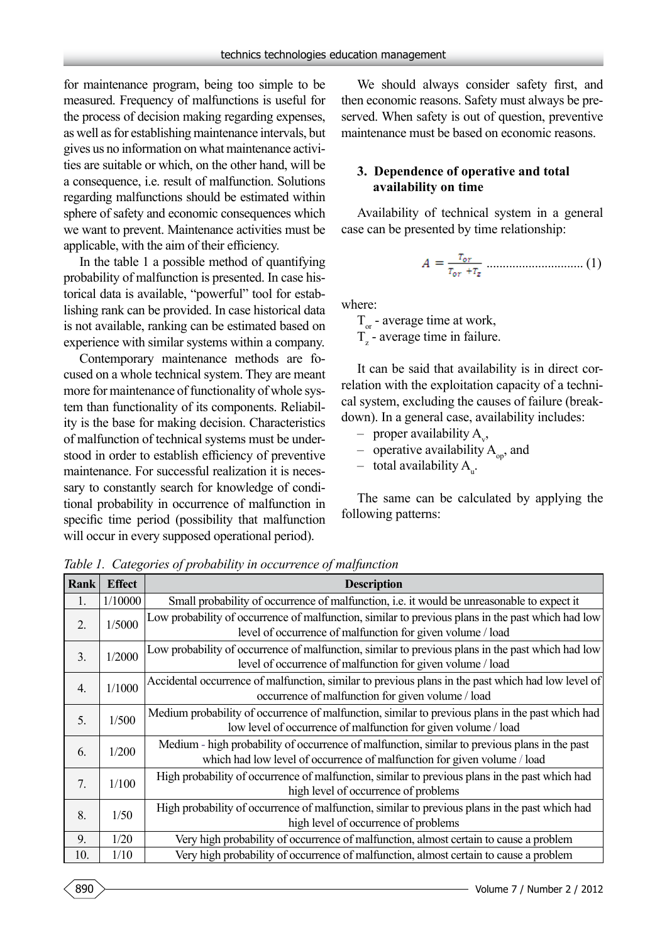for maintenance program, being too simple to be measured. Frequency of malfunctions is useful for the process of decision making regarding expenses, as well as for establishing maintenance intervals, but gives us no information on what maintenance activities are suitable or which, on the other hand, will be a consequence, i.e. result of malfunction. Solutions regarding malfunctions should be estimated within sphere of safety and economic consequences which we want to prevent. Maintenance activities must be applicable, with the aim of their efficiency.

In the table 1 a possible method of quantifying probability of malfunction is presented. In case historical data is available, "powerful" tool for establishing rank can be provided. In case historical data is not available, ranking can be estimated based on experience with similar systems within a company.

Contemporary maintenance methods are focused on a whole technical system. They are meant more for maintenance of functionality of whole system than functionality of its components. Reliability is the base for making decision. Characteristics of malfunction of technical systems must be understood in order to establish efficiency of preventive maintenance. For successful realization it is necessary to constantly search for knowledge of conditional probability in occurrence of malfunction in specific time period (possibility that malfunction will occur in every supposed operational period).

We should always consider safety first, and then economic reasons. Safety must always be preserved. When safety is out of question, preventive maintenance must be based on economic reasons.

### **3. Dependence of operative and total availability on time**

Availability of technical system in a general case can be presented by time relationship:

$$
A = \frac{T_{or}}{T_{or} + T_z}
$$
.........(1)

where:

 $T_{\text{or}}$  - average time at work,  $T_z$  - average time in failure.

It can be said that availability is in direct correlation with the exploitation capacity of a technical system, excluding the causes of failure (breakdown). In a general case, availability includes:

- proper availability  $A_{v}$ ,
- operative availability  $A_{\text{on}}$ , and
- $-$  total availability  $A_{u}$ .

The same can be calculated by applying the following patterns:

**Rank Effect Description** 1. 1/10000 Small probability of occurrence of malfunction, i.e. it would be unreasonable to expect it  $\frac{2}{1/5000}$  Low probability of occurrence of malfunction, similar to previous plans in the past which had low level of occurrence of malfunction for given volume / load  $\frac{3}{1/2000}$  Low probability of occurrence of malfunction, similar to previous plans in the past which had low level of occurrence of malfunction for given volume / load  $\frac{4}{1/1000}$  Accidental occurrence of malfunction, similar to previous plans in the past which had low level of occurrence of malfunction for given volume / load  $\frac{5}{1/500}$  Medium probability of occurrence of malfunction, similar to previous plans in the past which had low level of occurrence of malfunction for given volume / load 6. 1/200 Medium - high probability of occurrence of malfunction, similar to previous plans in the past which had low level of occurrence of malfunction for given volume / load  $7. \mid 1/100 \mid$  High probability of occurrence of malfunction, similar to previous plans in the past which had high level of occurrence of problems  $8.$   $\parallel$  1/50 High probability of occurrence of malfunction, similar to previous plans in the past which had high level of occurrence of problems 9. 1/20 Very high probability of occurrence of malfunction, almost certain to cause a problem 10. 1/10 Very high probability of occurrence of malfunction, almost certain to cause a problem

*Table 1. Categories of probability in occurrence of malfunction*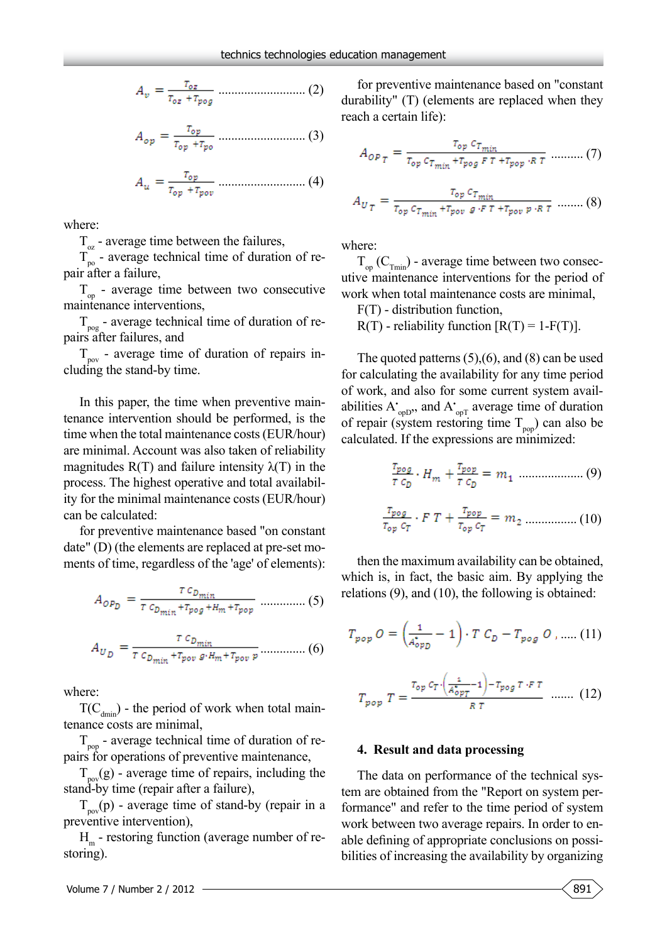........................... (2)

$$
A_{op} = \frac{T_{op}}{T_{op} + T_{po}} \dots \dots \dots \dots \dots \dots \dots \dots \dots \tag{3}
$$

$$
A_u = \frac{T_{op}}{T_{op} + T_{pop}} \dots \dots \dots \dots \dots \dots \dots \dots \dots \tag{4}
$$

where:

 $T_{\alpha}$  - average time between the failures,

 $T_{\text{po}}$  - average technical time of duration of repair after a failure,

 $T_{op}$  - average time between two consecutive maintenance interventions,

 $T_{\text{pog}}$  - average technical time of duration of repairs after failures, and

 $T_{\text{pov}}$  - average time of duration of repairs including the stand-by time.

In this paper, the time when preventive maintenance intervention should be performed, is the time when the total maintenance costs (EUR/hour) are minimal. Account was also taken of reliability magnitudes  $R(T)$  and failure intensity  $\lambda(T)$  in the process. The highest operative and total availability for the minimal maintenance costs (EUR/hour) can be calculated:

for preventive maintenance based "on constant date" (D) (the elements are replaced at pre-set moments of time, regardless of the 'age' of elements):

$$
A_{OPD} = \frac{r c_{D_{min}}}{r c_{D_{min}} + r_{pop} + H_m + r_{pop}} \dots \dots \dots \dots \dots \tag{5}
$$

$$
A_{U_D} = \frac{\tau c_{D_{min}}}{\tau c_{D_{min}} + \tau_{pov} g \cdot H_m + \tau_{pov} p} \dots (6)
$$

where:

 $T(C_{\text{dmin}})$  - the period of work when total maintenance costs are minimal,

 $T_{\text{pop}}$  - average technical time of duration of repairs for operations of preventive maintenance,

 $T_{\text{pov}}(g)$  - average time of repairs, including the stand-by time (repair after a failure),

 $T_{\text{pov}}(p)$  - average time of stand-by (repair in a preventive intervention),

 $H<sub>m</sub>$  - restoring function (average number of restoring).

for preventive maintenance based on "constant durability" (T) (elements are replaced when they reach a certain life):

$$
A_{OP_T} = \frac{T_{op} c_{T_{min}}}{T_{op} c_{T_{min}} + T_{pog} F T + T_{pop} R T} \dots \dots \dots (7)
$$

$$
A_{U_{T}} = \frac{T_{op} c_{T_{min}}}{T_{op} c_{T_{min}} + T_{pop} g \cdot F T + T_{pop} p \cdot R T}
$$
 ...... (8)

where:

 $T_{op}^{\text{}}(C_{T_{min}})$  - average time between two consecutive maintenance interventions for the period of work when total maintenance costs are minimal,

F(T) - distribution function,

 $R(T)$  - reliability function  $[R(T) = 1 - F(T)]$ .

The quoted patterns (5),(6), and (8) can be used for calculating the availability for any time period of work, and also for some current system availabilities  $A_{\text{opD}}$ , and  $A_{\text{opT}}$  average time of duration of repair (system restoring time  $T_{\text{pop}}$ ) can also be calculated. If the expressions are minimized:

.................... (9)

$$
\frac{\tau_{\text{pop}}}{\tau_{\text{op}} c_T} \cdot F \ T + \frac{\tau_{\text{pop}}}{\tau_{\text{op}} c_T} = m_2 \ \dots \dots \dots \dots \dots (10)
$$

then the maximum availability can be obtained, which is, in fact, the basic aim. By applying the relations (9), and (10), the following is obtained:

$$
T_{pop} O = \left(\frac{1}{A_{opp}^*} - 1\right) \cdot T C_D - T_{pog} O , \dots (11)
$$

$$
T_{pop} T = \frac{\tau_{op} c_T \cdot \left(\frac{1}{A_{opT}^*} - 1\right) - \tau_{pos} T \cdot F T}{R T} \quad \dots \dots \quad (12)
$$

#### **4. Result and data processing**

The data on performance of the technical system are obtained from the "Report on system performance" and refer to the time period of system work between two average repairs. In order to enable defining of appropriate conclusions on possibilities of increasing the availability by organizing

$$
\begin{bmatrix} 891 \end{bmatrix}
$$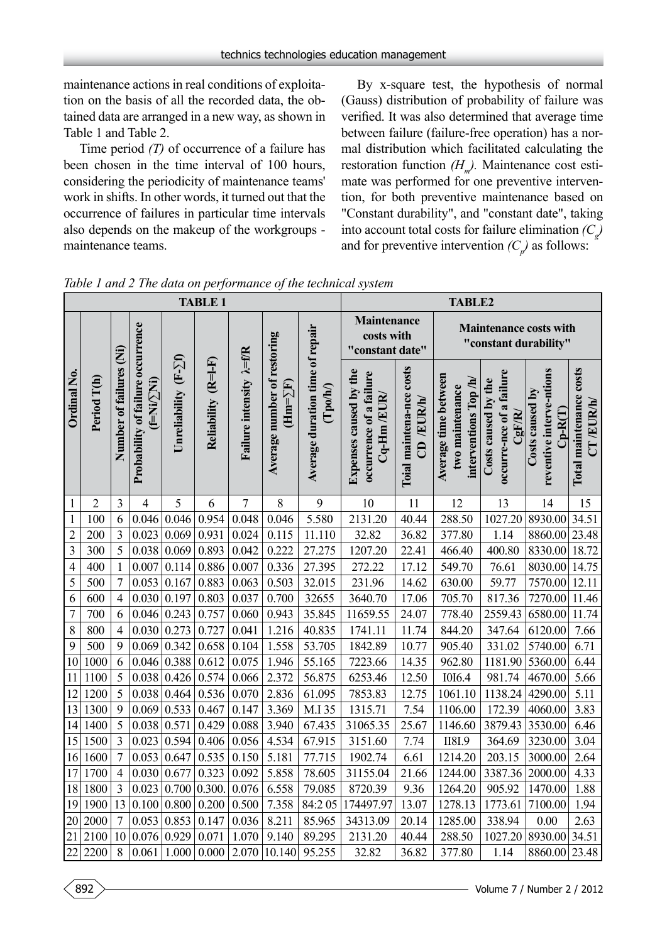maintenance actions in real conditions of exploitation on the basis of all the recorded data, the obtained data are arranged in a new way, as shown in Table 1 and Table 2.

Time period *(T)* of occurrence of a failure has been chosen in the time interval of 100 hours, considering the periodicity of maintenance teams' work in shifts. In other words, it turned out that the occurrence of failures in particular time intervals also depends on the makeup of the workgroups maintenance teams.

By x-square test, the hypothesis of normal (Gauss) distribution of probability of failure was verified. It was also determined that average time between failure (failure-free operation) has a normal distribution which facilitated calculating the restoration function  $(H<sub>m</sub>)$ . Maintenance cost estimate was performed for one preventive intervention, for both preventive maintenance based on "Constant durability", and "constant date", taking into account total costs for failure elimination  $(C_g)$ and for preventive intervention  $(C_p)$  as follows:

| <b>TABLE 1</b> |                |                         |                                                      |                      |                     |                                   |                                                |                                                       | <b>TABLE2</b>                                                     |                                        |                                                                 |                                                          |                                                          |                                         |
|----------------|----------------|-------------------------|------------------------------------------------------|----------------------|---------------------|-----------------------------------|------------------------------------------------|-------------------------------------------------------|-------------------------------------------------------------------|----------------------------------------|-----------------------------------------------------------------|----------------------------------------------------------|----------------------------------------------------------|-----------------------------------------|
|                | Period T(h)    | Number of failures (Ni) | Probability of failure occurrence<br>$(FNi/\sum Ni)$ | Unreliability (F-Zf) | Reliability (R=1-F) | Failure intensity $\lambda = f/R$ | Average number of restoring<br>$(Hm = \sum F)$ | Average duration time of repair<br>$(\mathrm{Topoh})$ | <b>Maintenance</b><br>costs with<br>"constant date"               |                                        | <b>Maintenance costs with</b><br>"constant durability"          |                                                          |                                                          |                                         |
| Ordinal No.    |                |                         |                                                      |                      |                     |                                   |                                                |                                                       | Expenses caused by the<br>occurrence of a failure<br>$Cq-Hm/ELIR$ | Toial maintena-nce costs<br>CD /EUR/h/ | Average time between<br>interventions Top/h/<br>two maintenance | occurre-nce of a failure<br>Costs caused by the<br>CgF/R | reventive interve-ntions<br>Costs caused by<br>$Cp-R(T)$ | Total maintenance costs<br>$CT$ /EUR/h/ |
| $\mathbf{1}$   | $\overline{2}$ | 3                       | $\overline{4}$                                       | 5                    | 6                   | 7                                 | 8                                              | 9                                                     | 10                                                                | 11                                     | 12                                                              | 13                                                       | 14                                                       | 15                                      |
| $\mathbf{1}$   | 100            | 6                       | 0.046                                                | 0.046                | 0.954               | 0.048                             | 0.046                                          | 5.580                                                 | 2131.20                                                           | 40.44                                  | 288.50                                                          | 1027.20                                                  | 8930.00                                                  | 34.51                                   |
| $\overline{c}$ | 200            | 3                       | 0.023                                                | 0.069                | 0.931               | 0.024                             | 0.115                                          | 11.110                                                | 32.82                                                             | 36.82                                  | 377.80                                                          | 1.14                                                     | 8860.00 23.48                                            |                                         |
| 3              | 300            | 5                       | 0.038                                                | 0.069                | 0.893               | 0.042                             | 0.222                                          | 27.275                                                | 1207.20                                                           | 22.41                                  | 466.40                                                          | 400.80                                                   | 8330.00                                                  | 18.72                                   |
| $\overline{4}$ | 400            | $\mathbf{1}$            | 0.007                                                | 0.114                | 0.886               | 0.007                             | 0.336                                          | 27.395                                                | 272.22                                                            | 17.12                                  | 549.70                                                          | 76.61                                                    | 8030.00                                                  | 14.75                                   |
| 5              | 500            | $\overline{7}$          | 0.053                                                | 0.167                | 0.883               | 0.063                             | 0.503                                          | 32.015                                                | 231.96                                                            | 14.62                                  | 630.00                                                          | 59.77                                                    | 7570.00                                                  | 12.11                                   |
| 6              | 600            | $\overline{4}$          | 0.030                                                | 0.197                | 0.803               | 0.037                             | 0.700                                          | 32655                                                 | 3640.70                                                           | 17.06                                  | 705.70                                                          | 817.36                                                   | 7270.00                                                  | 11.46                                   |
| $\overline{7}$ | 700            | 6                       | 0.046                                                | 0.243                | 0.757               | 0.060                             | 0.943                                          | 35.845                                                | 11659.55                                                          | 24.07                                  | 778.40                                                          | 2559.43                                                  | 6580.00                                                  | 11.74                                   |
| 8              | 800            | $\overline{4}$          | 0.030                                                | 0.273                | 0.727               | 0.041                             | 1.216                                          | 40.835                                                | 1741.11                                                           | 11.74                                  | 844.20                                                          | 347.64                                                   | 6120.00                                                  | 7.66                                    |
| 9              | 500            | 9                       | 0.069                                                | 0.342                | 0.658               | 0.104                             | 1.558                                          | 53.705                                                | 1842.89                                                           | 10.77                                  | 905.40                                                          | 331.02                                                   | 5740.00                                                  | 6.71                                    |
| 10             | 1000           | 6                       | 0.046                                                | 0.388                | 0.612               | 0.075                             | 1.946                                          | 55.165                                                | 7223.66                                                           | 14.35                                  | 962.80                                                          | 1181.90                                                  | 5360.00                                                  | 6.44                                    |
| 11             | 1100           | 5                       | 0.038                                                | 0.426                | 0.574               | 0.066                             | 2.372                                          | 56.875                                                | 6253.46                                                           | 12.50                                  | <b>I0I6.4</b>                                                   | 981.74                                                   | 4670.00                                                  | 5.66                                    |
| 12             | 1200           | 5                       | 0.038                                                | 0.464                | 0.536               | 0.070                             | 2.836                                          | 61.095                                                | 7853.83                                                           | 12.75                                  | 1061.10                                                         | 1138.24                                                  | 4290.00                                                  | 5.11                                    |
| 13             | 1300           | 9                       | 0.069                                                | 0.533                | 0.467               | 0.147                             | 3.369                                          | M.I 35                                                | 1315.71                                                           | 7.54                                   | 1106.00                                                         | 172.39                                                   | 4060.00                                                  | 3.83                                    |
| 14             | 1400           | 5                       | 0.038                                                | 0.571                | 0.429               | 0.088                             | 3.940                                          | 67.435                                                | 31065.35                                                          | 25.67                                  | 1146.60                                                         | 3879.43                                                  | 3530.00                                                  | 6.46                                    |
| 15             | 1500           | $\overline{3}$          | 0.023                                                | 0.594                | 0.406               | 0.056                             | 4.534                                          | 67.915                                                | 3151.60                                                           | 7.74                                   | <b>II8I.9</b>                                                   | 364.69                                                   | 3230.00                                                  | 3.04                                    |
| 16             | 1600           | $\overline{7}$          | 0.053                                                | 0.647                | 0.535               | 0.150                             | 5.181                                          | 77.715                                                | 1902.74                                                           | 6.61                                   | 1214.20                                                         | 203.15                                                   | 3000.00                                                  | 2.64                                    |
| 17             | 1700           | $\overline{4}$          | 0.030                                                | 0.677                | 0.323               | 0.092                             | 5.858                                          | 78.605                                                | 31155.04                                                          | 21.66                                  | 1244.00                                                         | 3387.36                                                  | 2000.00                                                  | 4.33                                    |
| 18             | 1800           | $\overline{3}$          | 0.023                                                | 0.700                | 0.300               | 0.076                             | 6.558                                          | 79.085                                                | 8720.39                                                           | 9.36                                   | 1264.20                                                         | 905.92                                                   | 1470.00                                                  | 1.88                                    |
| 19             | 1900           | 13                      | 0.100                                                | 0.800                | 0.200               | 0.500                             | 7.358                                          | 84:205                                                | 174497.97                                                         | 13.07                                  | 1278.13                                                         | 1773.61                                                  | 7100.00                                                  | 1.94                                    |
| 20             | 2000           | $\overline{7}$          | 0.053                                                | 0.853                | 0.147               | 0.036                             | 8.211                                          | 85.965                                                | 34313.09                                                          | 20.14                                  | 1285.00                                                         | 338.94                                                   | 0.00                                                     | 2.63                                    |
| 21             | 2100           | $10\,$                  | 0.076                                                | 0.929                | 0.071               | 1.070                             | 9.140                                          | 89.295                                                | 2131.20                                                           | 40.44                                  | 288.50                                                          | 1027.20                                                  | 8930.00 34.51                                            |                                         |
| 22             | 2200           | 8                       | 0.061                                                | 1.000                | 0.000               |                                   | $2.070$ 10.140                                 | 95.255                                                | 32.82                                                             | 36.82                                  | 377.80                                                          | 1.14                                                     | 8860.00 23.48                                            |                                         |

*Table 1 and 2 The data on performance of the technical system*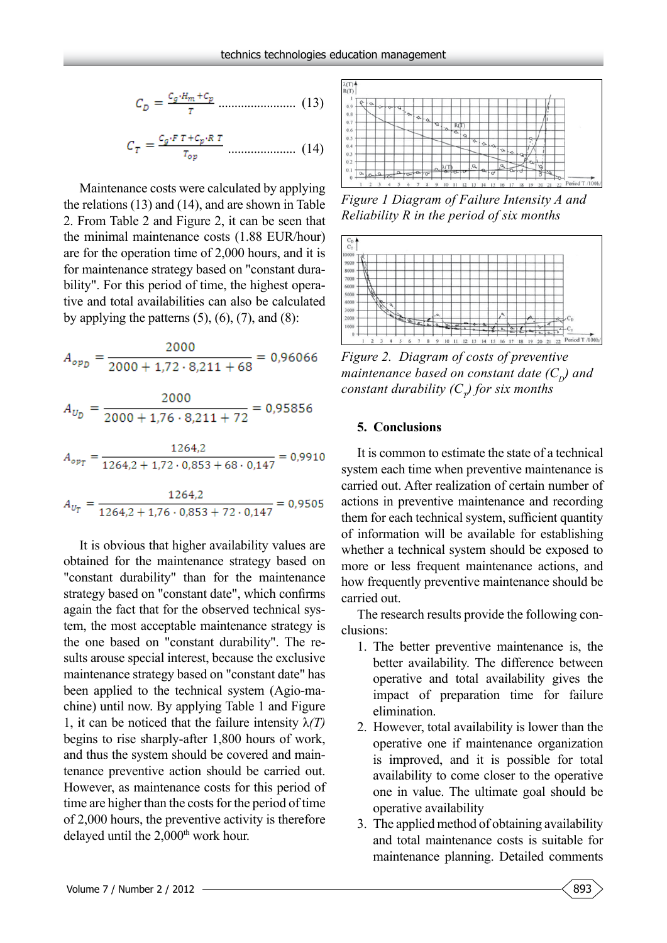$$
C_D = \frac{c_g \cdot H_m + c_p}{T} \dots \dots \dots \dots \dots \dots \dots \tag{13}
$$

$$
C_T = \frac{c_g \cdot F \, T + c_p \cdot R \, T}{T_{op}} \dots \dots \dots \dots \dots \dots \tag{14}
$$

Maintenance costs were calculated by applying the relations (13) and (14), and are shown in Table 2. From Table 2 and Figure 2, it can be seen that the minimal maintenance costs (1.88 EUR/hour) are for the operation time of 2,000 hours, and it is for maintenance strategy based on "constant durability". For this period of time, the highest operative and total availabilities can also be calculated by applying the patterns  $(5)$ ,  $(6)$ ,  $(7)$ , and  $(8)$ :

$$
A_{opp} = \frac{2000}{2000 + 1.72 \cdot 8.211 + 68} = 0.96066
$$

$$
A_{Up} = \frac{2000}{2000 + 1.76 \cdot 8.211 + 72} = 0.95856
$$

$$
A_{opp} = \frac{1264.2}{1264.2 + 1.72 \cdot 0.853 + 68 \cdot 0.147} = 0.9910
$$

$$
A_{U_T} = \frac{1264.2}{1264.2 + 1.76 \cdot 0.853 + 72 \cdot 0.147} = 0.9505
$$

It is obvious that higher availability values are obtained for the maintenance strategy based on "constant durability" than for the maintenance strategy based on "constant date", which confirms again the fact that for the observed technical system, the most acceptable maintenance strategy is the one based on "constant durability". The results arouse special interest, because the exclusive maintenance strategy based on "constant date" has been applied to the technical system (Agio-machine) until now. By applying Table 1 and Figure 1, it can be noticed that the failure intensity  $\lambda(T)$ begins to rise sharply-after 1,800 hours of work, and thus the system should be covered and maintenance preventive action should be carried out. However, as maintenance costs for this period of time are higher than the costs for the period of time of 2,000 hours, the preventive activity is therefore delayed until the 2,000<sup>th</sup> work hour.



*Figure 1 Diagram of Failure Intensity A and Reliability R in the period of six months*



*Figure 2. Diagram of costs of preventive maintenance based on constant date*  $(C_p)$  *and constant durability (C<sub>T</sub>) for six months* 

#### **5. Conclusions**

It is common to estimate the state of a technical system each time when preventive maintenance is carried out. After realization of certain number of actions in preventive maintenance and recording them for each technical system, sufficient quantity of information will be available for establishing whether a technical system should be exposed to more or less frequent maintenance actions, and how frequently preventive maintenance should be carried out.

The research results provide the following conclusions:

- 1. The better preventive maintenance is, the better availability. The difference between operative and total availability gives the impact of preparation time for failure elimination.
- 2. However, total availability is lower than the operative one if maintenance organization is improved, and it is possible for total availability to come closer to the operative one in value. The ultimate goal should be operative availability
- 3. The applied method of obtaining availability and total maintenance costs is suitable for maintenance planning. Detailed comments